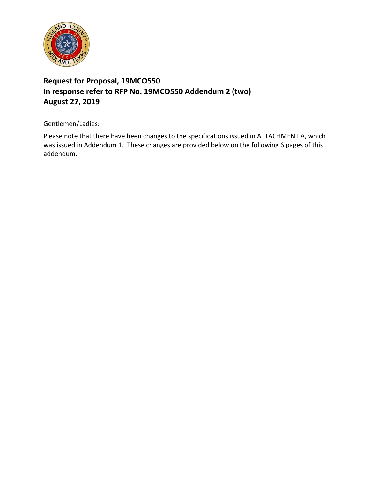

## **Request for Proposal, 19MCO550 In response refer to RFP No. 19MCO550 Addendum 2 (two) August 27, 2019**

Gentlemen/Ladies:

Please note that there have been changes to the specifications issued in ATTACHMENT A, which was issued in Addendum 1. These changes are provided below on the following 6 pages of this addendum.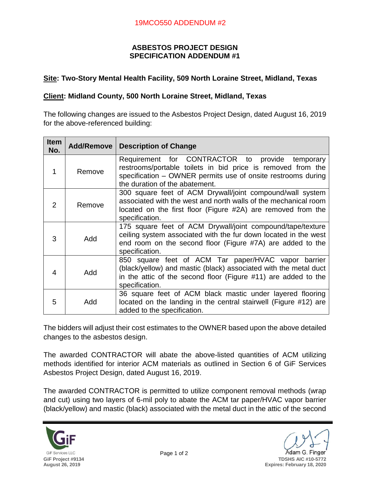## **ASBESTOS PROJECT DESIGN SPECIFICATION ADDENDUM #1**

## **Site: Two-Story Mental Health Facility, 509 North Loraine Street, Midland, Texas**

## **Client: Midland County, 500 North Loraine Street, Midland, Texas**

The following changes are issued to the Asbestos Project Design, dated August 16, 2019 for the above-referenced building:

| <b>Item</b><br>No. | <b>Add/Remove</b> | <b>Description of Change</b>                                                                                                                                                                                     |
|--------------------|-------------------|------------------------------------------------------------------------------------------------------------------------------------------------------------------------------------------------------------------|
| 1                  | Remove            | Requirement for CONTRACTOR to provide temporary<br>restrooms/portable toilets in bid price is removed from the<br>specification – OWNER permits use of onsite restrooms during<br>the duration of the abatement. |
| 2                  | Remove            | 300 square feet of ACM Drywall/joint compound/wall system<br>associated with the west and north walls of the mechanical room<br>located on the first floor (Figure #2A) are removed from the<br>specification.   |
| 3                  | Add               | 175 square feet of ACM Drywall/joint compound/tape/texture<br>ceiling system associated with the fur down located in the west<br>end room on the second floor (Figure #7A) are added to the<br>specification.    |
| $\overline{4}$     | Add               | 850 square feet of ACM Tar paper/HVAC vapor barrier<br>(black/yellow) and mastic (black) associated with the metal duct<br>in the attic of the second floor (Figure #11) are added to the<br>specification.      |
| 5                  | Add               | 36 square feet of ACM black mastic under layered flooring<br>located on the landing in the central stairwell (Figure #12) are<br>added to the specification.                                                     |

The bidders will adjust their cost estimates to the OWNER based upon the above detailed changes to the asbestos design.

The awarded CONTRACTOR will abate the above-listed quantities of ACM utilizing methods identified for interior ACM materials as outlined in Section 6 of GiF Services Asbestos Project Design, dated August 16, 2019.

The awarded CONTRACTOR is permitted to utilize component removal methods (wrap and cut) using two layers of 6-mil poly to abate the ACM tar paper/HVAC vapor barrier (black/yellow) and mastic (black) associated with the metal duct in the attic of the second



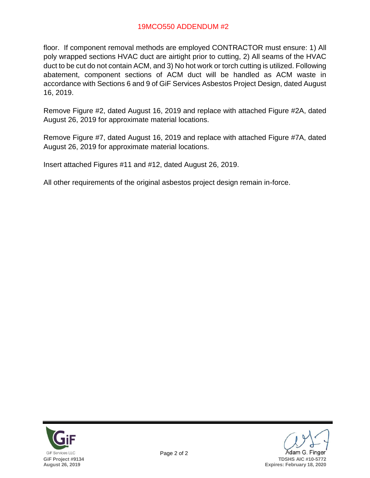floor. If component removal methods are employed CONTRACTOR must ensure: 1) All poly wrapped sections HVAC duct are airtight prior to cutting, 2) All seams of the HVAC duct to be cut do not contain ACM, and 3) No hot work or torch cutting is utilized. Following abatement, component sections of ACM duct will be handled as ACM waste in accordance with Sections 6 and 9 of GiF Services Asbestos Project Design, dated August 16, 2019.

Remove Figure #2, dated August 16, 2019 and replace with attached Figure #2A, dated August 26, 2019 for approximate material locations.

Remove Figure #7, dated August 16, 2019 and replace with attached Figure #7A, dated August 26, 2019 for approximate material locations.

Insert attached Figures #11 and #12, dated August 26, 2019.

All other requirements of the original asbestos project design remain in-force.



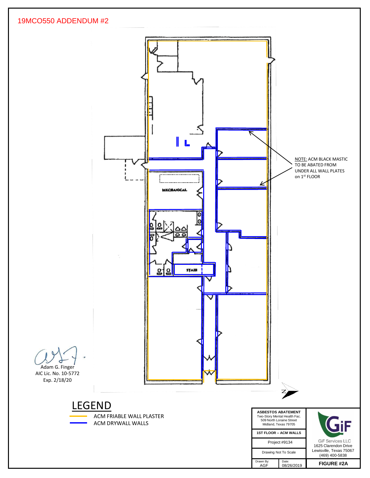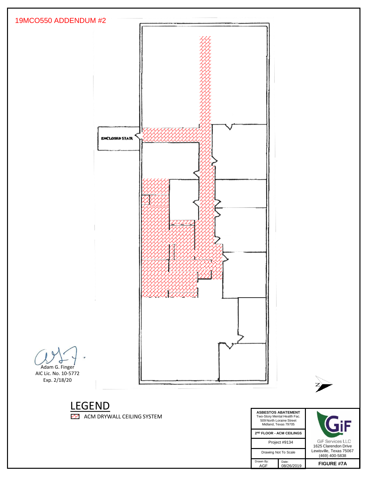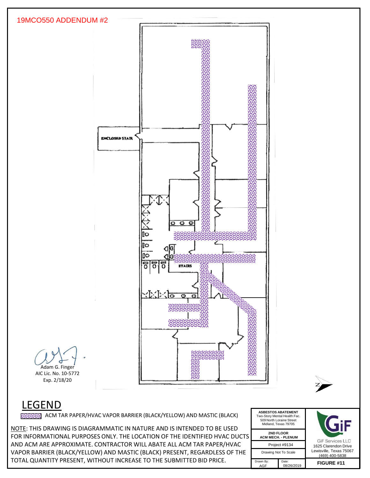

NOTE: THIS DRAWING IS DIAGRAMMATIC IN NATURE AND IS INTENDED TO BE USED FOR INFORMATIONAL PURPOSES ONLY. THE LOCATION OF THE IDENTIFIED HVAC DUCTS AND ACM ARE APPROXIMATE. CONTRACTOR WILL ABATE ALL ACM TAR PAPER/HVAC VAPOR BARRIER (BLACK/YELLOW) AND MASTIC (BLACK) PRESENT, REGARDLESS OF THE TOTAL QUANTITY PRESENT, WITHOUT INCREASE TO THE SUBMITTED BID PRICE.

| <b>ASBESTOS ABATEMENT</b><br>Two-Story Mental Health Fac.<br>509 North Loraine Street<br>Midland, Texas 79705 | <b>GiF Servi</b><br>1625 Claren |               |
|---------------------------------------------------------------------------------------------------------------|---------------------------------|---------------|
| <b>2ND FLOOR</b><br><b>ACM MECH. - PLENUM</b>                                                                 |                                 |               |
| Project #9134                                                                                                 |                                 |               |
| Drawing Not To Scale                                                                                          | Lewisville. Te<br>$(469)$ 400   |               |
| Drawn By:<br>AGF                                                                                              | Date:<br>08/26/2019             | <b>FIGURE</b> |